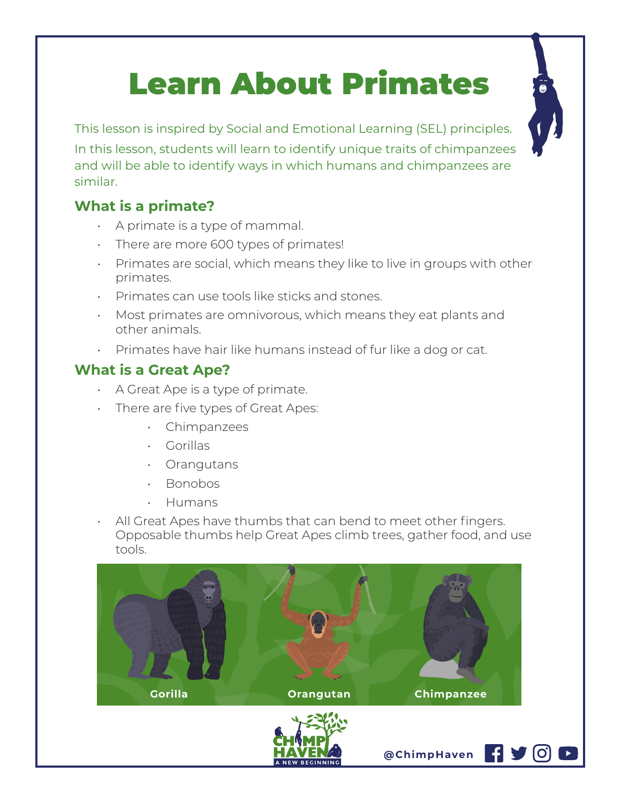# Learn About Primates



## **What is a primate?**

similar.

- A primate is a type of mammal.
- There are more 600 types of primates!
- Primates are social, which means they like to live in groups with other primates.
- Primates can use tools like sticks and stones.
- Most primates are omnivorous, which means they eat plants and other animals.
- Primates have hair like humans instead of fur like a dog or cat.

## **What is a Great Ape?**

- A Great Ape is a type of primate.
- There are five types of Great Apes:
	- Chimpanzees
	- Gorillas
	- Orangutans
	- Bonobos
	- Humans
- All Great Apes have thumbs that can bend to meet other fingers. Opposable thumbs help Great Apes climb trees, gather food, and use tools.